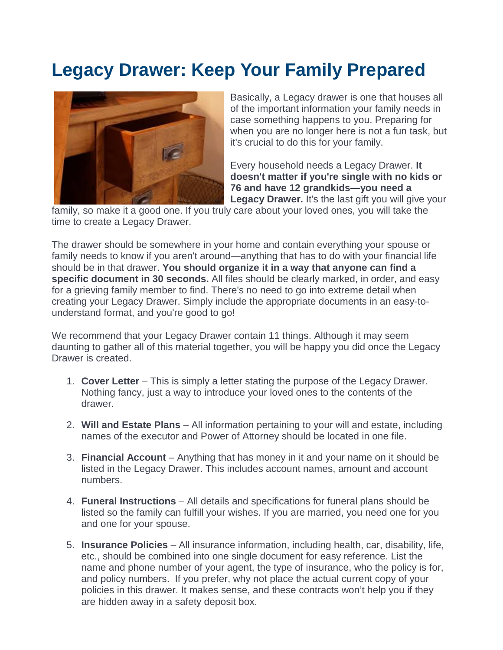## **Legacy Drawer: Keep Your Family Prepared**



Basically, a Legacy drawer is one that houses all of the important information your family needs in case something happens to you. Preparing for when you are no longer here is not a fun task, but it's crucial to do this for your family.

Every household needs a Legacy Drawer. **It doesn't matter if you're single with no kids or 76 and have 12 grandkids—you need a**  Legacy Drawer. It's the last gift you will give your

family, so make it a good one. If you truly care about your loved ones, you will take the time to create a Legacy Drawer.

The drawer should be somewhere in your home and contain everything your spouse or family needs to know if you aren't around—anything that has to do with your financial life should be in that drawer. **You should organize it in a way that anyone can find a specific document in 30 seconds.** All files should be clearly marked, in order, and easy for a grieving family member to find. There's no need to go into extreme detail when creating your Legacy Drawer. Simply include the appropriate documents in an easy-tounderstand format, and you're good to go!

We recommend that your Legacy Drawer contain 11 things. Although it may seem daunting to gather all of this material together, you will be happy you did once the Legacy Drawer is created.

- 1. **Cover Letter** This is simply a letter stating the purpose of the Legacy Drawer. Nothing fancy, just a way to introduce your loved ones to the contents of the drawer.
- 2. **Will and Estate Plans**  All information pertaining to your will and estate, including names of the executor and Power of Attorney should be located in one file.
- 3. **Financial Account** Anything that has money in it and your name on it should be listed in the Legacy Drawer. This includes account names, amount and account numbers.
- 4. **Funeral Instructions** All details and specifications for funeral plans should be listed so the family can fulfill your wishes. If you are married, you need one for you and one for your spouse.
- 5. **Insurance Policies**  All insurance information, including health, car, disability, life, etc., should be combined into one single document for easy reference. List the name and phone number of your agent, the type of insurance, who the policy is for, and policy numbers. If you prefer, why not place the actual current copy of your policies in this drawer. It makes sense, and these contracts won't help you if they are hidden away in a safety deposit box.